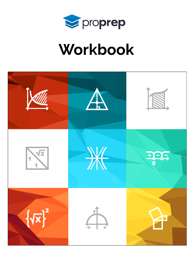

# Workbook

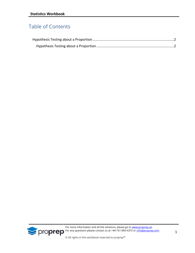## Table of Contents



For more information and all the solutions, please go to **[www.proprep.uk.](http://www.proprep.uk/) For any questions please contact us at +44-161-850-4375 or [info@proprep.com.](mailto:info@proprep.com)** 

© All rights in this workbook reserved to proprep™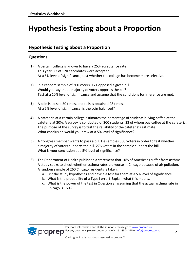# <span id="page-2-0"></span>**Hypothesis Testing about a Proportion**

### <span id="page-2-1"></span>**Hypothesis Testing about a Proportion**

#### **Questions**

- **1)** A certain college is known to have a 25% acceptance rate. This year, 22 of 120 candidates were accepted. At a 5% level of significance, test whether the college has become more selective.
- **2)** In a random sample of 300 voters, 171 opposed a given bill. Would you say that a majority of voters opposes the bill? Test at a 10% level of significance and assume that the conditions for inference are met.
- **3)** A coin is tossed 50 times, and tails is obtained 28 times. At a 5% level of significance, is the coin balanced?
- **4)** A cafeteria at a certain college estimates the percentage of students buying coffee at the cafeteria at 20%. A survey is conducted of 200 students, 33 of whom buy coffee at the cafeteria. The purpose of the survey is to test the reliability of the cafeteria's estimate. What conclusion would you draw at a 5% level of significance?
- **5)** A Congress member wants to pass a bill. He samples 300 voters in order to test whether a majority of voters supports the bill. 276 voters in the sample support the bill. What is your conclusion at a 5% level of significance?
- **6)** The Department of Health published a statement that 10% of Americans suffer from asthma. A study seeks to check whether asthma rates are worse in Chicago because of air pollution. A random sample of 260 Chicago residents is taken.
	- a. List the study hypotheses and devise a test for them at a 5% level of significance.
	- b. What is the probability of a Type I error? Explain what this means.
	- c. What is the power of the test in Question a, assuming that the actual asthma rate in Chicago is 16%?